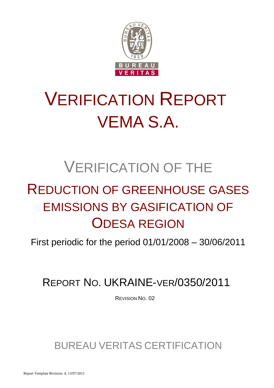

# VERIFICATION REPORT VEMA S.A.

## VERIFICATION OF THE

## REDUCTION OF GREENHOUSE GASES EMISSIONS BY GASIFICATION OF ODESA REGION

First periodic for the period 01/01/2008 – 30/06/2011

REPORT NO. UKRAINE-VER/0350/2011

REVISION NO. 02

BUREAU VERITAS CERTIFICATION

Report Template Revision .4, 13/07/2011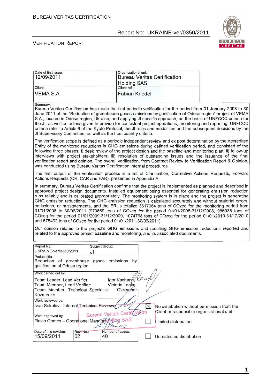

#### VERIFICATION REPORT

| Date of first issue:<br>12/09/2011                                                                                                                                                                                                                                                                                                                                                                                                                                                                                                                                                                                                                                                                                                                                                                                                                                                                                                                               | Organizational unit:<br><b>Holding SAS</b>               |                       | <b>Bureau Veritas Certification</b>                                                      |  |
|------------------------------------------------------------------------------------------------------------------------------------------------------------------------------------------------------------------------------------------------------------------------------------------------------------------------------------------------------------------------------------------------------------------------------------------------------------------------------------------------------------------------------------------------------------------------------------------------------------------------------------------------------------------------------------------------------------------------------------------------------------------------------------------------------------------------------------------------------------------------------------------------------------------------------------------------------------------|----------------------------------------------------------|-----------------------|------------------------------------------------------------------------------------------|--|
| Client:                                                                                                                                                                                                                                                                                                                                                                                                                                                                                                                                                                                                                                                                                                                                                                                                                                                                                                                                                          | Client ref.:                                             |                       |                                                                                          |  |
| <b>VEMA S.A.</b>                                                                                                                                                                                                                                                                                                                                                                                                                                                                                                                                                                                                                                                                                                                                                                                                                                                                                                                                                 | <b>Fabian Knodel</b>                                     |                       |                                                                                          |  |
| Summary:<br>Bureau Veritas Certification has made the first periodic verification for the period from 01 January 2008 to 30<br>June 2011 of the "Reduction of greenhouse gases emissions by gasification of Odesa region" project of VEMA<br>S.A., located in Odesa region, Ukraine, and applying JI specific approach, on the basis of UNFCCC criteria for<br>the JI, as well as criteria given to provide for consistent project operations, monitoring and reporting. UNFCCC<br>criteria refer to Article 6 of the Kyoto Protocol, the JI rules and modalities and the subsequent decisions by the<br>JI Supervisory Committee, as well as the host country criteria.                                                                                                                                                                                                                                                                                         |                                                          |                       |                                                                                          |  |
| The verification scope is defined as a periodic independent review and ex post determination by the Accredited<br>Entity of the monitored reductions in GHG emissions during defined verification period, and consisted of the<br>following three phases: i) desk review of the project design and the baseline and monitoring plan; ii) follow-up<br>interviews with project stakeholders; iii) resolution of outstanding issues and the issuance of the final<br>verification report and opinion. The overall verification, from Contract Review to Verification Report & Opinion,<br>was conducted using Bureau Veritas Certification internal procedures.                                                                                                                                                                                                                                                                                                    |                                                          |                       |                                                                                          |  |
| The first output of the verification process is a list of Clarification, Corrective Actions Requests, Forward<br>Actions Requests (CR, CAR and FAR), presented in Appendix A.                                                                                                                                                                                                                                                                                                                                                                                                                                                                                                                                                                                                                                                                                                                                                                                    |                                                          |                       |                                                                                          |  |
| In summary, Bureau Veritas Certification confirms that the project is implemented as planned and described in<br>approved project design documents. Installed equipment being essential for generating emission reduction<br>runs reliably and is calibrated appropriately. The monitoring system is in place and the project is generating<br>GHG emission reductions. The GHG emission reduction is calculated accurately and without material errors,<br>omissions, or misstatements, and the ERUs totalize 3617064 tons of CO2eq for the monitoring period from<br>01/01/2008 to 30/06/2011 (979869 tons of CO2eq for the period 01/01/2008-31/12/2008, 986935 tons of<br>CO2eq for the period 01/01/2009-31/12/2009, 1074768 tons of CO2eq for the period 01/01/2010-31/12/2010<br>and 575492 tons of CO2eq for the period 01/01/2011-30/06/2011).<br>Our opinion relates to the project's GHG emissions and resulting GHG emission reductions reported and |                                                          |                       |                                                                                          |  |
| related to the approved project baseline and monitoring, and its associated documents.                                                                                                                                                                                                                                                                                                                                                                                                                                                                                                                                                                                                                                                                                                                                                                                                                                                                           |                                                          |                       |                                                                                          |  |
| Report No.:<br>Subject Group:<br>UKRAINE-ver/0350/2011<br>JI                                                                                                                                                                                                                                                                                                                                                                                                                                                                                                                                                                                                                                                                                                                                                                                                                                                                                                     |                                                          |                       |                                                                                          |  |
| Project title:<br>Reduction of greenhouse gases emissions by<br>gasification of Odesa region                                                                                                                                                                                                                                                                                                                                                                                                                                                                                                                                                                                                                                                                                                                                                                                                                                                                     |                                                          |                       |                                                                                          |  |
| Work carried out by:                                                                                                                                                                                                                                                                                                                                                                                                                                                                                                                                                                                                                                                                                                                                                                                                                                                                                                                                             |                                                          |                       |                                                                                          |  |
| Team Leader, Lead Verifier:<br>Team Member, Lead Verifier:<br>Team Member, Technical Specialist:<br>Kuzmenko                                                                                                                                                                                                                                                                                                                                                                                                                                                                                                                                                                                                                                                                                                                                                                                                                                                     | Igor Kachan <i>(Kende</i><br>Victoria Legka<br>Oleksandr |                       |                                                                                          |  |
| Work reviewed by:                                                                                                                                                                                                                                                                                                                                                                                                                                                                                                                                                                                                                                                                                                                                                                                                                                                                                                                                                |                                                          |                       |                                                                                          |  |
| Ivan Sokolov - Internal Technical Reviewer                                                                                                                                                                                                                                                                                                                                                                                                                                                                                                                                                                                                                                                                                                                                                                                                                                                                                                                       |                                                          | $\boxtimes$<br>cation | No distribution without permission from the<br>Client or responsible organizational unit |  |
| Work approved by:<br>Bureau<br>Flavio Gomes - Operational Manager                                                                                                                                                                                                                                                                                                                                                                                                                                                                                                                                                                                                                                                                                                                                                                                                                                                                                                | sing SAS<br>$\sim$ 110                                   |                       | Limited distribution                                                                     |  |
| Date of this revision:<br>Rev. No.:<br>15/09/2011<br>40<br>02                                                                                                                                                                                                                                                                                                                                                                                                                                                                                                                                                                                                                                                                                                                                                                                                                                                                                                    | Number of pages:                                         |                       | Unrestricted distribution                                                                |  |

1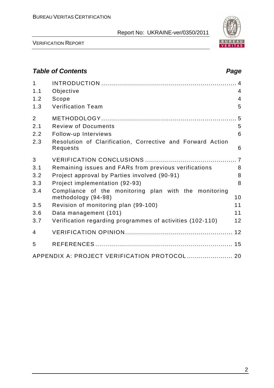

VERIFICATION REPORT

## **Table of Contents Page 2018**

| $\mathbf 1$    |                                                                        |                |
|----------------|------------------------------------------------------------------------|----------------|
| 1.1            | Objective                                                              | $\overline{4}$ |
| 1.2            | Scope                                                                  | $\overline{4}$ |
| 1.3            | <b>Verification Team</b>                                               | 5              |
| $\overline{2}$ |                                                                        |                |
| 2.1            | <b>Review of Documents</b>                                             | 5              |
| 2.2            | Follow-up Interviews                                                   | 6              |
| 2.3            | Resolution of Clarification, Corrective and Forward Action<br>Requests | 6              |
| 3              |                                                                        |                |
| 3.1            | Remaining issues and FARs from previous verifications                  | 8              |
| 3.2            | Project approval by Parties involved (90-91)                           | 8              |
| 3.3            | Project implementation (92-93)                                         | 8              |
| 3.4            | Compliance of the monitoring plan with the monitoring                  |                |
|                | methodology (94-98)                                                    | 10             |
| 3.5            | Revision of monitoring plan (99-100)                                   | 11             |
| 3.6            | Data management (101)                                                  | 11             |
| 3.7            | Verification regarding programmes of activities (102-110)              | 12             |
| 4              |                                                                        |                |
| 5              |                                                                        |                |
|                | APPENDIX A: PROJECT VERIFICATION PROTOCOL  20                          |                |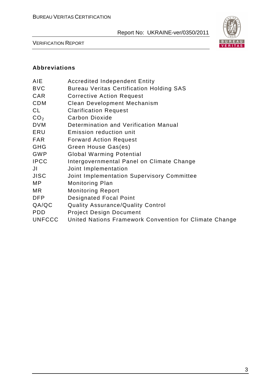

VERIFICATION REPORT

#### **Abbreviations**

| AIE             | <b>Accredited Independent Entity</b>                   |
|-----------------|--------------------------------------------------------|
| BVC             | <b>Bureau Veritas Certification Holding SAS</b>        |
| CAR             | <b>Corrective Action Request</b>                       |
| <b>CDM</b>      | Clean Development Mechanism                            |
| CL              | <b>Clarification Request</b>                           |
| CO <sub>2</sub> | <b>Carbon Dioxide</b>                                  |
| <b>DVM</b>      | Determination and Verification Manual                  |
| ERU             | Emission reduction unit                                |
| FAR             | <b>Forward Action Request</b>                          |
| GHG             | Green House Gas(es)                                    |
| GWP             | <b>Global Warming Potential</b>                        |
| <b>IPCC</b>     | Intergovernmental Panel on Climate Change              |
| JI              | Joint Implementation                                   |
| JISC            | Joint Implementation Supervisory Committee             |
| МP              | <b>Monitoring Plan</b>                                 |
| ΜR              | <b>Monitoring Report</b>                               |
| DFP             | <b>Designated Focal Point</b>                          |
| QA/QC           | <b>Quality Assurance/Quality Control</b>               |
| PDD             | <b>Project Design Document</b>                         |
| <b>UNFCCC</b>   | United Nations Framework Convention for Climate Change |
|                 |                                                        |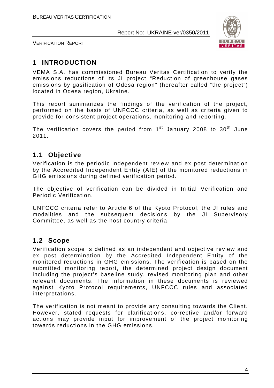

VERIFICATION REPORT

## **1 INTRODUCTION**

VEMA S.A. has commissioned Bureau Veritas Certification to verify the emissions reductions of its JI project "Reduction of greenhouse gases emissions by gasification of Odesa region" (hereafter called "the project") located in Odesa region, Ukraine.

This report summarizes the findings of the verification of the project, performed on the basis of UNFCCC criteria, as well as criteria given to provide for consistent project operations, monitoring and reporting.

The verification covers the period from  $1<sup>st</sup>$  January 2008 to 30<sup>th</sup> June 2011.

## **1.1 Objective**

Verification is the periodic independent review and ex post determination by the Accredited Independent Entity (AIE) of the monitored reductions in GHG emissions during defined verification period.

The objective of verification can be divided in Initial Verification and Periodic Verification.

UNFCCC criteria refer to Article 6 of the Kyoto Protocol, the JI rules and modalities and the subsequent decisions by the JI Supervisory Committee, as well as the host country criteria.

### **1.2 Scope**

Verification scope is defined as an independent and objective review and ex post determination by the Accredited Independent Entity of the monitored reductions in GHG emissions. The verification is based on the submitted monitoring report, the determined project design document including the project's baseline study, revised monitoring plan and other relevant documents. The information in these documents is reviewed against Kyoto Protocol requirements, UNFCCC rules and associated interpretations.

The verification is not meant to provide any consulting towards the Client. However, stated requests for clarifications, corrective and/or forward actions may provide input for improvement of the project monitoring towards reductions in the GHG emissions.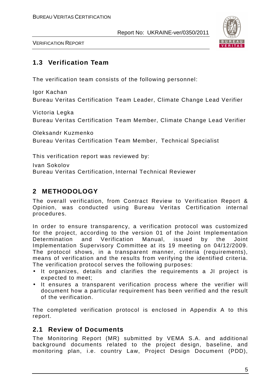

VERIFICATION REPORT

## **1.3 Verification Team**

The verification team consists of the following personnel:

Igor Kachan Bureau Veritas Certification Team Leader, Climate Change Lead Verifier

Victoria Legka Bureau Veritas Certification Team Member, Climate Change Lead Verifier

Oleksandr Kuzmenko Bureau Veritas Certification Team Member, Technical Specialist

This verification report was reviewed by:

Ivan Sokolov

Bureau Veritas Certification, Internal Technical Reviewer

## **2 METHODOLOGY**

The overall verification, from Contract Review to Verification Report & Opinion, was conducted using Bureau Veritas Certification internal procedures.

In order to ensure transparency, a verification protocol was customized for the project, according to the version 01 of the Joint Implementation Determination and Verification Manual, issued by the Joint Implementation Supervisory Committee at its 19 meeting on 04/12/2009. The protocol shows, in a transparent manner, criteria (requirements), means of verification and the results from verifying the identified criteria. The verification protocol serves the following purposes:

- It organizes, details and clarifies the requirements a JI project is expected to meet;
- It ensures a transparent verification process where the verifier will document how a particular requirement has been verified and the result of the verification.

The completed verification protocol is enclosed in Appendix A to this report.

### **2.1 Review of Documents**

The Monitoring Report (MR) submitted by VEMA S.A. and additional background documents related to the project design, baseline, and monitoring plan, i.e. country Law, Project Design Document (PDD),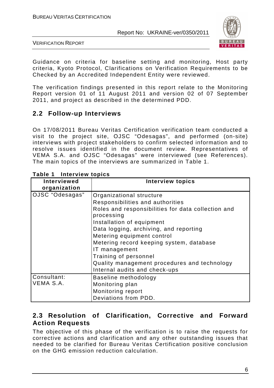

VERIFICATION REPORT

Guidance on criteria for baseline setting and monitoring, Host party criteria, Kyoto Protocol, Clarifications on Verification Requirements to be Checked by an Accredited Independent Entity were reviewed.

The verification findings presented in this report relate to the Monitoring Report version 01 of 11 August 2011 and version 02 of 07 September 2011, and project as described in the determined PDD.

## **2.2 Follow-up Interviews**

On 17/08/2011 Bureau Veritas Certification verification team conducted a visit to the project site, OJSC "Odesagas", and performed (on-site) interviews with project stakeholders to confirm selected information and to resolve issues identified in the document review. Representatives of VEMA S.A. and OJSC "Odesagas" were interviewed (see References). The main topics of the interviews are summarized in Table 1.

| Interviewed<br>organization | <b>Interview topics</b>                                                                                                                                                                                                                                                                                                                                                                                      |
|-----------------------------|--------------------------------------------------------------------------------------------------------------------------------------------------------------------------------------------------------------------------------------------------------------------------------------------------------------------------------------------------------------------------------------------------------------|
| OJSC "Odesagas"             | Organizational structure<br>Responsibilities and authorities<br>Roles and responsibilities for data collection and<br>processing<br>Installation of equipment<br>Data logging, archiving, and reporting<br>Metering equipment control<br>Metering record keeping system, database<br>IT management<br>Training of personnel<br>Quality management procedures and technology<br>Internal audits and check-ups |
| Consultant:<br>VEMA S.A.    | Baseline methodology<br>Monitoring plan<br>Monitoring report<br>Deviations from PDD.                                                                                                                                                                                                                                                                                                                         |

#### **Table 1 Interview topics**

## **2.3 Resolution of Clarification, Corrective and Forward Action Requests**

The objective of this phase of the verification is to raise the requests for corrective actions and clarification and any other outstanding issues that needed to be clarified for Bureau Veritas Certification positive conclusion on the GHG emission reduction calculation.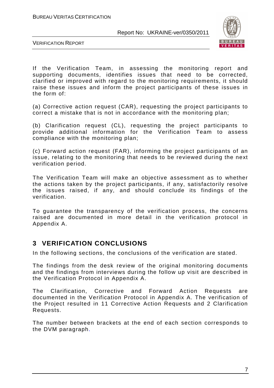

VERIFICATION REPORT

If the Verification Team, in assessing the monitoring report and supporting documents, identifies issues that need to be corrected, clarified or improved with regard to the monitoring requirements, it should raise these issues and inform the project participants of these issues in the form of:

(a) Corrective action request (CAR), requesting the project participants to correct a mistake that is not in accordance with the monitoring plan;

(b) Clarification request (CL), requesting the project participants to provide additional information for the Verification Team to assess compliance with the monitoring plan;

(c) Forward action request (FAR), informing the project participants of an issue, relating to the monitoring that needs to be reviewed during the next verification period.

The Verification Team will make an objective assessment as to whether the actions taken by the project participants, if any, satisfactorily resolve the issues raised, if any, and should conclude its findings of the verification.

To guarantee the transparency of the verification process, the concerns raised are documented in more detail in the verification protocol in Appendix A.

### **3 VERIFICATION CONCLUSIONS**

In the following sections, the conclusions of the verification are stated.

The findings from the desk review of the original monitoring documents and the findings from interviews during the follow up visit are described in the Verification Protocol in Appendix A.

The Clarification, Corrective and Forward Action Requests are documented in the Verification Protocol in Appendix A. The verification of the Project resulted in 11 Corrective Action Requests and 2 Clarification Requests.

The number between brackets at the end of each section corresponds to the DVM paragraph.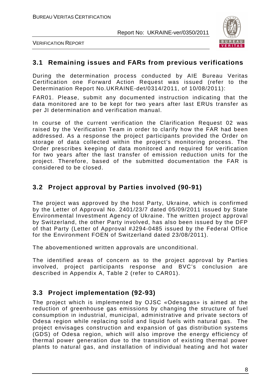

VERIFICATION REPORT

#### **3.1 Remaining issues and FARs from previous verifications**

During the determination process conducted by AIE Bureau Veritas Certification one Forward Action Request was issued (refer to the Determination Report No.UKRAINE-det/0314/2011, of 10/08/2011):

FAR01. Please, submit any documented instruction indicating that the data monitored are to be kept for two years after last ERUs transfer as per JI determination and verification manual.

In course of the current verification the Clarification Request 02 was raised by the Verification Team in order to clarify how the FAR had been addressed. As a response the project participants provided the Order on storage of data collected within the project's monitoring process. The Order prescribes keeping of data monitored and required for verification for two years after the last transfer of emission reduction units for the project. Therefore, based of the submitted documentation the FAR is considered to be closed.

## **3.2 Project approval by Parties involved (90-91)**

The project was approved by the host Party, Ukraine, which is confirmed by the Letter of Approval No. 2401/23/7 dated 05/09/2011 issued by State Environmental Investment Agency of Ukraine. The written project approval by Switzerland, the other Party involved, has also been issued by the DFP of that Party (Letter of Approval #J294-0485 issued by the Federal Office for the Environment FOEN of Switzerland dated 23/08/2011).

The abovementioned written approvals are unconditional.

The identified areas of concern as to the project approval by Parties involved, project participants response and BVC's conclusion are described in Appendix A, Table 2 (refer to CAR01).

## **3.3 Project implementation (92-93)**

The project which is implemented by OJSC «Odesagas» is aimed at the reduction of greenhouse gas emissions by changing the structure of fuel consumption in industrial, municipal, administrative and private sectors of Odesa region while replacing solid and liquid fuels with natural gas. The project envisages construction and expansion of gas distribution systems (GDS) of Odesa region, which will also improve the energy efficiency of thermal power generation due to the transition of existing thermal power plants to natural gas, and installation of individual heating and hot water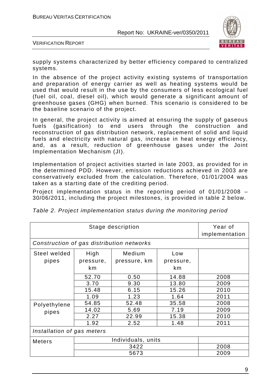

VERIFICATION REPORT

supply systems characterized by better efficiency compared to centralized systems.

In the absence of the project activity existing systems of transportation and preparation of energy carrier as well as heating systems would be used that would result in the use by the consumers of less ecological fuel (fuel oil, coal, diesel oil), which would generate a significant amount of greenhouse gases (GHG) when burned. This scenario is considered to be the baseline scenario of the project.

In general, the project activity is aimed at ensuring the supply of gaseous fuels (gasification) to end users through the construction and reconstruction of gas distribution network, replacement of solid and liquid fuels and electricity with natural gas, increase in heat energy efficiency, and, as a result, reduction of greenhouse gases under the Joint Implementation Mechanism (JI).

Implementation of project activities started in late 2003, as provided for in the determined PDD. However, emission reductions achieved in 2003 are conservatively excluded from the calculation. Therefore, 01/01/2004 was taken as a starting date of the crediting period.

Project implementation status in the reporting period of 01/01/2008 – 30/06/2011, including the project milestones, is provided in table 2 below.

| Stage description                         |                                |                                    |                                | Year of<br>implementation    |  |
|-------------------------------------------|--------------------------------|------------------------------------|--------------------------------|------------------------------|--|
| Construction of gas distribution networks |                                |                                    |                                |                              |  |
| Steel welded<br>pipes                     | High<br>pressure,<br>km        | Medium<br>pressure, km             | Low<br>pressure,<br>km         |                              |  |
|                                           | 52.70<br>3.70<br>15.48         | 0.50<br>9.30<br>6.15               | 14.88<br>13.80<br>15.26        | 2008<br>2009<br>2010         |  |
|                                           | 1.09                           | 1.23                               | 1.64                           | 2011                         |  |
| Polyethylene<br>pipes                     | 54.85<br>14.02<br>2.27<br>1.92 | 52.48<br>5.69<br>22.99<br>2.52     | 35.58<br>7.19<br>15.38<br>1.48 | 2008<br>2009<br>2010<br>2011 |  |
| Installation of gas meters                |                                |                                    |                                |                              |  |
| <b>Meters</b>                             |                                | Individuals, units<br>3422<br>5673 |                                | 2008<br>2009                 |  |

Table 2. Project implementation status during the monitoring period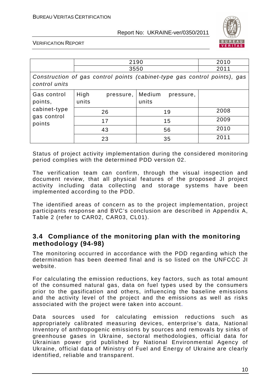

VERIFICATION REPORT

|                                                                                            | 2190                       |                              | 2010 |  |  |
|--------------------------------------------------------------------------------------------|----------------------------|------------------------------|------|--|--|
|                                                                                            | 3550                       |                              | 2011 |  |  |
| Construction of gas control points (cabinet-type gas control points), gas<br>control units |                            |                              |      |  |  |
| Gas control<br>points,<br>cabinet-type<br>gas control<br>points                            | High<br>pressure,<br>units | Medium<br>pressure,<br>units |      |  |  |
|                                                                                            | 26                         | 19                           | 2008 |  |  |
|                                                                                            | 17                         | 15                           | 2009 |  |  |
|                                                                                            | 43                         | 56                           | 2010 |  |  |
|                                                                                            | 23                         | 35                           | 2011 |  |  |

Status of project activity implementation during the considered monitoring period complies with the determined PDD version 02.

The verification team can confirm, through the visual inspection and document review, that all physical features of the proposed JI project activity including data collecting and storage systems have been implemented according to the PDD.

The identified areas of concern as to the project implementation, project participants response and BVC's conclusion are described in Appendix A, Table 2 (refer to CAR02, CAR03, CL01).

### **3.4 Compliance of the monitoring plan with the monitoring methodology (94-98)**

The monitoring occurred in accordance with the PDD regarding which the determination has been deemed final and is so listed on the UNFCCC JI website.

For calculating the emission reductions, key factors, such as total amount of the consumed natural gas, data on fuel types used by the consumers prior to the gasification and others, influencing the baseline emissions and the activity level of the project and the emissions as well as risks associated with the project were taken into account.

Data sources used for calculating emission reductions such as appropriately calibrated measuring devices, enterprise's data, National Inventory of anthropogenic emissions by sources and removals by sinks of greenhouse gases in Ukraine, sectoral methodologies, official data for Ukrainian power grid published by National Environmental Agency of Ukraine, official data of Ministry of Fuel and Energy of Ukraine are clearly identified, reliable and transparent.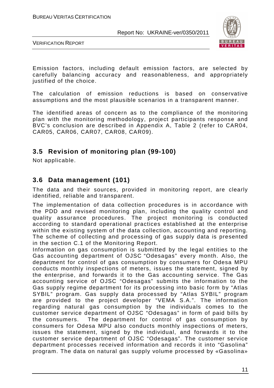

VERIFICATION REPORT

Emission factors, including default emission factors, are selected by carefully balancing accuracy and reasonableness, and appropriately justified of the choice.

The calculation of emission reductions is based on conservative assumptions and the most plausible scenarios in a transparent manner.

The identified areas of concern as to the compliance of the monitoring plan with the monitoring methodology, project participants response and BVC's conclusion are described in Appendix A, Table 2 (refer to CAR04, CAR05, CAR06, CAR07, CAR08, CAR09).

### **3.5 Revision of monitoring plan (99-100)**

Not applicable.

#### **3.6 Data management (101)**

The data and their sources, provided in monitoring report, are clearly identified, reliable and transparent.

The implementation of data collection procedures is in accordance with the PDD and revised monitoring plan, including the quality control and quality assurance procedures. The project monitoring is conducted according to standard operational practices established at the enterprise within the existing system of the data collection, accounting and reporting. The scheme of collecting and processing of gas supply data is presented in the section C.1 of the Monitoring Report.

Information on gas consumption is submitted by the legal entities to the Gas accounting department of OJSC "Odesagas" every month. Also, the department for control of gas consumption by consumers for Odesa MPU conducts monthly inspections of meters, issues the statement, signed by the enterprise, and forwards it to the Gas accounting service. The Gas accounting service of OJSC "Odesagas" submits the information to the Gas supply regime department for its processing into basic form by "Atlas SYBIL" program. Gas supply data processed by "Atlas SYBIL" program are provided to the project developer "VEMA S.A.". The information regarding natural gas consumption by the individuals comes to the customer service department of OJSC "Odesagas" in form of paid bills by the consumers. The department for control of gas consumption by consumers for Odesa MPU also conducts monthly inspections of meters, issues the statement, signed by the individual, and forwards it to the customer service department of OJSC "Odesagas". The customer service department processes received information and records it into "Gasolina" program. The data on natural gas supply volume processed by «Gasolina»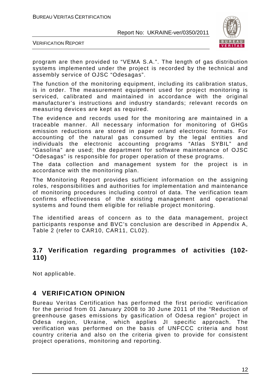

VERIFICATION REPORT

program are then provided to "VEMA S.A.". The length of gas distribution systems implemented under the project is recorded by the technical and assembly service of OJSC "Odesagas".

The function of the monitoring equipment, including its calibration status, is in order. The measurement equipment used for project monitoring is serviced, calibrated and maintained in accordance with the original manufacturer's instructions and industry standards; relevant records on measuring devices are kept as required.

The evidence and records used for the monitoring are maintained in a traceable manner. All necessary information for monitoring of GHGs emission reductions are stored in paper or/and electronic formats. For accounting of the natural gas consumed by the legal entities and individuals the electronic accounting programs "Atlas SYBIL" and "Gasolina" are used; the department for software maintenance of OJSC "Odesagas" is responsible for proper operation of these programs.

The data collection and management system for the project is in accordance with the monitoring plan.

The Monitoring Report provides sufficient information on the assigning roles, responsibilities and authorities for implementation and maintenance of monitoring procedures including control of data. The verification team confirms effectiveness of the existing management and operational systems and found them eligible for reliable project monitoring.

The identified areas of concern as to the data management, project participants response and BVC's conclusion are described in Appendix A, Table 2 (refer to CAR10, CAR11, CL02).

### **3.7 Verification regarding programmes of activities (102- 110)**

Not applicable.

## **4 VERIFICATION OPINION**

Bureau Veritas Certification has performed the first periodic verification for the period from 01 January 2008 to 30 June 2011 of the "Reduction of greenhouse gases emissions by gasification of Odesa region" project in Odesa region, Ukraine, which applies JI specific approach. The verification was performed on the basis of UNFCCC criteria and host country criteria and also on the criteria given to provide for consistent project operations, monitoring and reporting.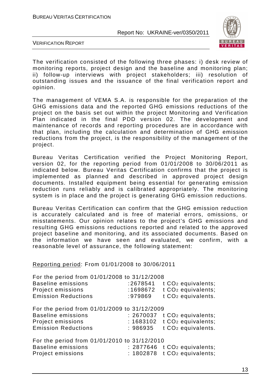

VERIFICATION REPORT

The verification consisted of the following three phases: i) desk review of monitoring reports, project design and the baseline and monitoring plan; ii) follow-up interviews with project stakeholders; iii) resolution of outstanding issues and the issuance of the final verification report and opinion.

The management of VEMA S.A. is responsible for the preparation of the GHG emissions data and the reported GHG emissions reductions of the project on the basis set out within the project Monitoring and Verification Plan indicated in the final PDD version 02. The development and maintenance of records and reporting procedures are in accordance with that plan, including the calculation and determination of GHG emission reductions from the project, is the responsibility of the management of the project.

Bureau Veritas Certification verified the Project Monitoring Report, version 02, for the reporting period from 01/01/2008 to 30/06/2011 as indicated below. Bureau Veritas Certification confirms that the project is implemented as planned and described in approved project design documents. Installed equipment being essential for generating emission reduction runs reliably and is calibrated appropriately. The monitoring system is in place and the project is generating GHG emission reductions.

Bureau Veritas Certification can confirm that the GHG emission reduction is accurately calculated and is free of material errors, omissions, or misstatements. Our opinion relates to the project's GHG emissions and resulting GHG emissions reductions reported and related to the approved project baseline and monitoring, and its associated documents. Based on the information we have seen and evaluated, we confirm, with a reasonable level of assurance, the following statement:

Reporting period: From 01/01/2008 to 30/06/2011

| For the period from 01/01/2008 to 31/12/2008<br><b>Baseline emissions</b><br>Project emissions<br><b>Emission Reductions</b> | :2678541<br>:1698672<br>:979869    | t CO <sub>2</sub> equivalents;<br>t CO <sub>2</sub> equivalents;<br>t CO <sub>2</sub> equivalents. |
|------------------------------------------------------------------------------------------------------------------------------|------------------------------------|----------------------------------------------------------------------------------------------------|
| For the period from 01/01/2009 to 31/12/2009<br><b>Baseline emissions</b><br>Project emissions<br><b>Emission Reductions</b> | : 2670037<br>: 1683102<br>: 986935 | t CO <sub>2</sub> equivalents;<br>t CO <sub>2</sub> equivalents;<br>t CO <sub>2</sub> equivalents. |
| For the period from 01/01/2010 to 31/12/2010<br><b>Baseline emissions</b><br>Project emissions                               | : 2877646<br>: 1802878             | t CO <sub>2</sub> equivalents;<br>t CO <sub>2</sub> equivalents;                                   |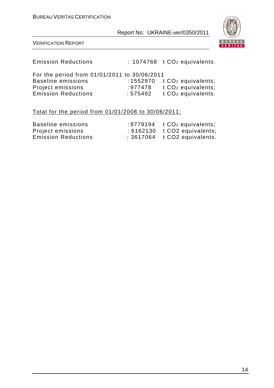

#### VERIFICATION REPORT

Emission Reductions : 1074768 t CO<sub>2</sub> equivalents.

| For the period from 01/01/2011 to 30/06/2011 |         |                                |
|----------------------------------------------|---------|--------------------------------|
| Baseline emissions                           |         | :1552970 $t CO2$ equivalents;  |
| Project emissions                            | :977478 | t CO <sub>2</sub> equivalents; |
| <b>Emission Reductions</b>                   | :575492 | t CO <sub>2</sub> equivalents. |

#### Total for the period from 01/01/2008 to 30/06/2011:

| Baseline emissions         | :9779194 $t CO2$ equivalents;  |
|----------------------------|--------------------------------|
| Project emissions          | $:6162130$ t CO2 equivalents;  |
| <b>Emission Reductions</b> | $: 3617064$ t CO2 equivalents. |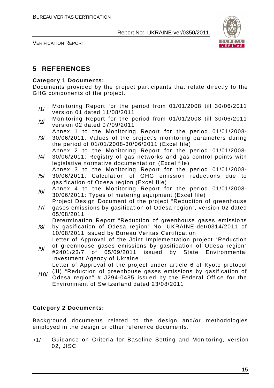

VERIFICATION REPORT

## **5 REFERENCES**

#### **Category 1 Documents:**

Documents provided by the project participants that relate directly to the GHG components of the project.

- /1/ Monitoring Report for the period from 01/01/2008 till 30/06/2011 version 01 dated 11/08/2011
- /2/ Monitoring Report for the period from 01/01/2008 till 30/06/2011 version 02 dated 07/09/2011
- /3/ Annex 1 to the Monitoring Report for the period 01/01/2008- 30/06/2011. Values of the project's monitoring parameters during the period of 01/01/2008-30/06/2011 (Excel file)
- /4/ Annex 2 to the Monitoring Report for the period 01/01/2008- 30/06/2011: Registry of gas networks and gas control points with legislative normative documentation (Excel file)
- Annex 3 to the Monitoring Report for the period 01/01/2008-
- /5/ 30/06/2011: Calculation of GHG emission reductions due to gasification of Odesa region (Excel file)
- $/6/$  Annex 4 to the Monitoring Report for the period 01/01/2008-30/06/2011: Types of metering equipment (Excel file)
- /7/ Project Design Document of the project "Reduction of greenhouse gases emissions by gasification of Odesa region", version 02 dated
- 05/08/2011
- /8/ Determination Report "Reduction of greenhouse gases emissions by gasification of Odesa region" No. UKRAINE-det/0314/2011 of 10/08/2011 issued by Bureau Veritas Certification

Letter of Approval of the Joint Implementation project "Reduction of greenhouse gases emissions by gasification of Odesa region"

- /9/ #2401/23/7 of 05/09/2011 issued by State Environmental Investment Agency of Ukraine Letter of Approval of the project under article 6 of Kyoto protocol
- /10/ (JI) "Reduction of greenhouse gases emissions by gasification of Odesa region" # J294-0485 issued by the Federal Office for the Environment of Switzerland dated 23/08/2011

#### **Category 2 Documents:**

Background documents related to the design and/or methodologies employed in the design or other reference documents.

/1/ Guidance on Criteria for Baseline Setting and Monitoring, version 02, JISC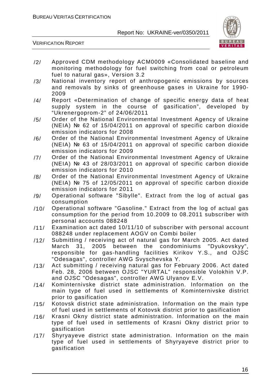

- /2/ Approved CDM methodology ACM0009 «Consolidated baseline and monitoring methodology for fuel switching from coal or petroleum fuel to natural gas», Version 3.2
- /3/ National inventory report of anthropogenic emissions by sources and removals by sinks of greenhouse gases in Ukraine for 1990- 2009
- /4/ Report «Determination of change of specific energy data of heat supply system in the course of gasification", developed by "Ukrenergoprom-2" of 24/06/2011
- /5/ Order of the National Environmental Investment Agency of Ukraine (NEIA) № 62 of 15/04/2011 on approval of specific carbon dioxide emission indicators for 2008
- /6/ Order of the National Environmental Investment Agency of Ukraine (NEIA) № 63 of 15/04/2011 on approval of specific carbon dioxide emission indicators for 2009
- /7/ Order of the National Environmental Investment Agency of Ukraine (NEIA) № 43 of 28/03/2011 on approval of specific carbon dioxide emission indicators for 2010
- /8/ Order of the National Environmental Investment Agency of Ukraine (NEIA) № 75 of 12/05/2011 on approval of specific carbon dioxide emission indicators for 2011
- /9/ Operational software "Sibylle". Extract from the log of actual gas consumption
- /10/ Operational software "Gasoline." Extract from the log of actual gas consumption for the period from 10.2009 to 08.2011 subscriber with personal accounts 088248
- /11/ Examination act dated 10/11/10 of subscriber with personal account 088248 under replacement AOGV on Combi boiler
- /12/ Submitting / receiving act of natural gas for March 2005. Act dated March 31, 2005 between the condominiums "Dyukovskyy", responsible for gas-handling facilities Kirikov Y.S., and OJSC "Odesagas", controller AWG Svyschevska Y.
- /13/ Act submitting / receiving natural gas for February 2006. Act dated Feb. 28, 2006 between OJSC "YURTAL" responsible Volokhin V.P. and OJSC "Odesagas", controller AWG Ulyanov E.V.
- /14/ Kominternivske district state administration. Information on the main type of fuel used in settlements of Kominternivske district prior to gasification
- /15/ Kotovsk district state administration. Information on the main type of fuel used in settlements of Kotovsk district prior to gasification
- /16/ Krasni Okny district state administration. Information on the main type of fuel used in settlements of Krasni Okny district prior to gasification
- /17/ Shyryayeve district state administration. Information on the main type of fuel used in settlements of Shyryayeve district prior to gasification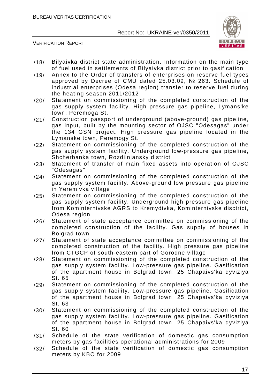

- /18/ Bilyaivka district state administration. Information on the main type of fuel used in settlements of Bilyaivka district prior to gasification
- /19/ Annex to the Order of transfers of enterprises on reserve fuel types approved by Decree of CMU dated 25.03.09, № 263. Schedule of industrial enterprises (Odesa region) transfer to reserve fuel during the heating season 2011/2012
- /20/ Statement on commissioning of the completed construction of the gas supply system facility. High pressure gas pipeline, Lymans'ke town, Peremoga St.
- /21/ Construction passport of underground (above-ground) gas pipeline, gas input, built by the mounting sector of OJSC "Odesagas" under the 134 GSN project. High pressure gas pipeline located in the Lymanske town, Peremogy St.
- /22/ Statement on commissioning of the completed construction of the gas supply system facility. Underground low-pressure gas pipeline, Shcherbanka town, Rozdilnjansky district
- /23/ Statement of transfer of main fixed assets into operation of OJSC "Odesagas"
- /24/ Statement on commissioning of the completed construction of the gas supply system facility. Above-ground low pressure gas pipeline in Yeremivka village
- /25/ Statement on commissioning of the completed construction of the gas supply system facility. Underground high pressure gas pipeline from Kominternivske AGRS to Kremydivka, Kominternivske disctrict, Odesa region
- /26/ Statement of state acceptance committee on commissioning of the completed construction of the facility. Gas supply of houses in Bolgrad town
- /27/ Statement of state acceptance committee on commissioning of the completed construction of the facility. High pressure gas pipeline from CTGCP of south-eastern part of Gorodne village
- /28/ Statement on commissioning of the completed construction of the gas supply system facility. Low-pressure gas pipeline. Gasification of the apartment house in Bolgrad town, 25 Chapaivs'ka dyviziya St. 65
- /29/ Statement on commissioning of the completed construction of the gas supply system facility. Low-pressure gas pipeline. Gasification of the apartment house in Bolgrad town, 25 Chapaivs'ka dyviziya St. 63
- /30/ Statement on commissioning of the completed construction of the gas supply system facility. Low-pressure gas pipeline. Gasification of the apartment house in Bolgrad town, 25 Chapaivs'ka dyviziya St. 60
- /31/ Schedule of the state verification of domestic gas consumption meters by gas facilities operational administrations for 2009
- /32/ Schedule of the state verification of domestic gas consumption meters by KBO for 2009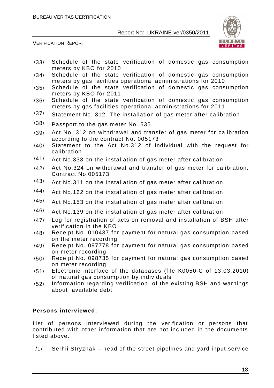

VERIFICATION REPORT

- /33/ Schedule of the state verification of domestic gas consumption meters by KBO for 2010
- /34/ Schedule of the state verification of domestic gas consumption meters by gas facilities operational administrations for 2010
- /35/ Schedule of the state verification of domestic gas consumption meters by KBO for 2011
- /36/ Schedule of the state verification of domestic gas consumption meters by gas facilities operational administrations for 2011
- /37/ Statement No. 312. The installation of gas meter after calibration
- /38/ Passport to the gas meter No. 535
- /39/ Act No. 312 on withdrawal and transfer of gas meter for calibration according to the contract No. 005173
- /40/ Statement to the Act No.312 of individual with the request for calibration
- /41/ Act No.333 on the installation of gas meter after calibration
- /42/ Act No.324 on withdrawal and transfer of gas meter for calibration. Contract No.005173
- $/43/$  Act No.311 on the installation of gas meter after calibration
- /44/ Act No.162 on the installation of gas meter after calibration
- /45/ Act No.153 on the installation of gas meter after calibration
- /46/ Act No.139 on the installation of gas meter after calibration
- /47/ Log for registration of acts on removal and installation of BSH after verification in the KBO
- /48/ Receipt No. 010437 for payment for natural gas consumption based on the meter recording
- /49/ Receipt No. 097778 for payment for natural gas consumption based on meter recording
- /50/ Receipt No. 098735 for payment for natural gas consumption based on meter recording
- /51/ Electronic interface of the databases (file K0050-C of 13.03.2010) of natural gas consumption by individuals
- /52/ Information regarding verification of the existing BSH and warnings about available debt

#### **Persons interviewed:**

List of persons interviewed during the verification or persons that contributed with other information that are not included in the documents listed above.

/1/ Serhii Stryzhak – head of the street pipelines and yard input service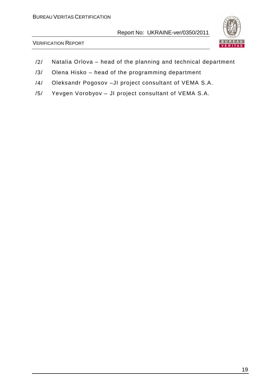

- /2/ Natalia Orlova head of the planning and technical department
- /3/ Olena Hisko head of the programming department
- /4/ Oleksandr Pogosov –JI project consultant of VEMA S.A.
- /5/ Yevgen Vorobyov JI project consultant of VEMA S.A.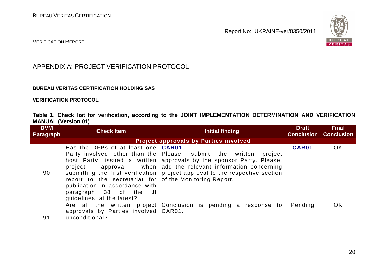

#### VERIFICATION REPORT

## APPENDIX A: PROJECT VERIFICATION PROTOCOL

#### **BUREAU VERITAS CERTIFICATION HOLDING SAS**

**VERIFICATION PROTOCOL** 

**Table 1. Check list for verification, according to the JOINT IMPLEMENTATION DETERMINATION AND VERIFICATION MANUAL (Version 01)** 

| <b>DVM</b><br><b>Paragraph</b>               | <b>Check Item</b>                                                                                                                                                                                             | Initial finding                                                                                                                                                                                                                                                                             | <b>Draft</b> | <b>Final</b><br><b>Conclusion Conclusion</b> |
|----------------------------------------------|---------------------------------------------------------------------------------------------------------------------------------------------------------------------------------------------------------------|---------------------------------------------------------------------------------------------------------------------------------------------------------------------------------------------------------------------------------------------------------------------------------------------|--------------|----------------------------------------------|
| <b>Project approvals by Parties involved</b> |                                                                                                                                                                                                               |                                                                                                                                                                                                                                                                                             |              |                                              |
| 90                                           | Has the DFPs of at least one <b>CAR01</b><br>project<br>report to the secretariat for of the Monitoring Report.<br>publication in accordance with<br>paragraph 38 of the<br>JI.<br>guidelines, at the latest? | Party involved, other than the Please, submit the written<br>project<br>host Party, issued a written approvals by the sponsor Party. Please,<br>approval when $ $ add the relevant information concerning<br>submitting the first verification   project approval to the respective section | CAR01        | <b>OK</b>                                    |
| 91                                           | Are all the written project<br>approvals by Parties involved<br>unconditional?                                                                                                                                | Conclusion is pending a response to<br>CAR01.                                                                                                                                                                                                                                               | Pending      | OK.                                          |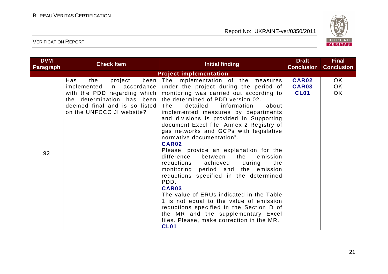

| <b>DVM</b><br>Paragraph | <b>Check Item</b>                                                                   | <b>Initial finding</b>                                                                                                                                                                                                                                                                                                                                                                                                                                                                                                                                                                                                                                                                                                                                                                                                                                                                                                                                                                   | <b>Draft</b><br><b>Conclusion</b>           | <b>Final</b><br><b>Conclusion</b> |
|-------------------------|-------------------------------------------------------------------------------------|------------------------------------------------------------------------------------------------------------------------------------------------------------------------------------------------------------------------------------------------------------------------------------------------------------------------------------------------------------------------------------------------------------------------------------------------------------------------------------------------------------------------------------------------------------------------------------------------------------------------------------------------------------------------------------------------------------------------------------------------------------------------------------------------------------------------------------------------------------------------------------------------------------------------------------------------------------------------------------------|---------------------------------------------|-----------------------------------|
|                         |                                                                                     | <b>Project implementation</b>                                                                                                                                                                                                                                                                                                                                                                                                                                                                                                                                                                                                                                                                                                                                                                                                                                                                                                                                                            |                                             |                                   |
| 92                      | project<br>Has<br>the<br>deemed final and is so listed<br>on the UNFCCC JI website? | been The implementation of the measures<br>implemented in accordance under the project during the period of<br>with the PDD regarding which   monitoring was carried out according to<br>the determination has been the determined of PDD version 02.<br>detailed<br>l The<br>information<br>about<br>implemented measures by departments<br>and divisions is provided in Supporting<br>document Excel file "Annex 2 Registry of<br>gas networks and GCPs with legislative<br>normative documentation".<br><b>CAR02</b><br>Please, provide an explanation for the<br>difference<br>between<br>the<br>emission<br>reductions achieved during<br>the<br>monitoring period and the emission<br>reductions specified in the determined<br>PDD.<br>CAR03<br>The value of ERUs indicated in the Table<br>1 is not equal to the value of emission<br>reductions specified in the Section D of<br>the MR and the supplementary Excel<br>files. Please, make correction in the MR.<br><b>CL01</b> | <b>CAR02</b><br><b>CAR03</b><br><b>CL01</b> | OK<br>OK<br>OK                    |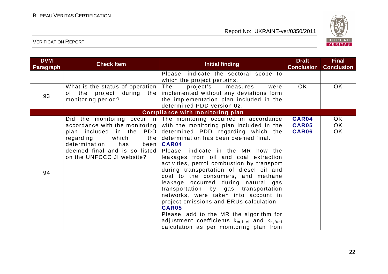

|                                                                                                 |                                                                                                                                                                                                                                                                                                                                                                                            | <b>Conclusion</b>                                                                                                                                                                                                                                                                                                                                                                                                                                                     | <b>Conclusion</b> |
|-------------------------------------------------------------------------------------------------|--------------------------------------------------------------------------------------------------------------------------------------------------------------------------------------------------------------------------------------------------------------------------------------------------------------------------------------------------------------------------------------------|-----------------------------------------------------------------------------------------------------------------------------------------------------------------------------------------------------------------------------------------------------------------------------------------------------------------------------------------------------------------------------------------------------------------------------------------------------------------------|-------------------|
|                                                                                                 | Please, indicate the sectoral scope to<br>which the project pertains.                                                                                                                                                                                                                                                                                                                      |                                                                                                                                                                                                                                                                                                                                                                                                                                                                       |                   |
| What is the status of operation<br>of the project during the<br>monitoring period?              | The<br>project's<br>measures<br>were<br>implemented without any deviations form<br>the implementation plan included in the<br>determined PDD version 02.                                                                                                                                                                                                                                   | OK                                                                                                                                                                                                                                                                                                                                                                                                                                                                    | OK.               |
|                                                                                                 |                                                                                                                                                                                                                                                                                                                                                                                            |                                                                                                                                                                                                                                                                                                                                                                                                                                                                       |                   |
| regarding<br>determination<br>has<br>deemed final and is so listed<br>on the UNFCCC JI website? | leakages from oil and coal extraction<br>activities, petrol combustion by transport<br>during transportation of diesel oil and<br>coal to the consumers, and methane<br>leakage occurred during natural gas<br>transportation by gas transportation<br>networks, were taken into account in<br>project emissions and ERUs calculation.<br>CAR05<br>Please, add to the MR the algorithm for | CAR05<br><b>CAR06</b>                                                                                                                                                                                                                                                                                                                                                                                                                                                 | OK.<br>OK.<br>OK  |
|                                                                                                 |                                                                                                                                                                                                                                                                                                                                                                                            | <b>Compliance with monitoring plan</b><br>Did the monitoring occur in The monitoring occurred in accordance<br>accordance with the monitoring with the monitoring plan included in the<br>plan included in the PDD determined PDD regarding which the<br>which $the$ determination has been deemed final.<br>been   CAR04<br>Please, indicate in the MR how the<br>adjustment coefficients $k_{m, fuel}$ and $k_{h, fuel}$<br>calculation as per monitoring plan from | <b>CAR04</b>      |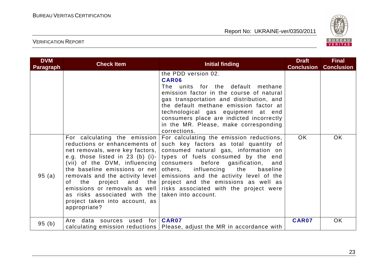

| <b>DVM</b><br><b>Paragraph</b> | <b>Check Item</b>                                                                                                                                                                                                                          | <b>Initial finding</b>                                                                                                                                                                                                                                                                                                                                                                                                                                                                                                           | <b>Draft</b><br><b>Conclusion</b> | <b>Final</b><br><b>Conclusion</b> |
|--------------------------------|--------------------------------------------------------------------------------------------------------------------------------------------------------------------------------------------------------------------------------------------|----------------------------------------------------------------------------------------------------------------------------------------------------------------------------------------------------------------------------------------------------------------------------------------------------------------------------------------------------------------------------------------------------------------------------------------------------------------------------------------------------------------------------------|-----------------------------------|-----------------------------------|
|                                |                                                                                                                                                                                                                                            | the PDD version 02.<br>CAR06<br>The units for the default methane<br>emission factor in the course of natural<br>gas transportation and distribution, and<br>the default methane emission factor at<br>technological gas equipment at end<br>consumers place are indicted incorrectly<br>in the MR. Please, make corresponding<br>corrections.                                                                                                                                                                                   |                                   |                                   |
| 95(a)                          | For calculating the emission<br>reductions or enhancements of<br>e.g. those listed in 23 (b) (i)-<br>and the<br>the<br>project<br>of<br>as risks associated with the taken into account.<br>project taken into account, as<br>appropriate? | For calculating the emission reductions,<br>such key factors as total quantity of<br>net removals, were key factors, consumed natural gas, information on<br>types of fuels consumed by the end<br>(vii) of the DVM, influencing consumers before gasification, and<br>the baseline emissions or net others, influencing the baseline<br>removals and the activity level emissions and the activity level of the<br>project and the emissions as well as<br>emissions or removals as well risks associated with the project were | <b>OK</b>                         | <b>OK</b>                         |
| 95(b)                          | Are data sources used for   CAR07                                                                                                                                                                                                          | calculating emission reductions   Please, adjust the MR in accordance with                                                                                                                                                                                                                                                                                                                                                                                                                                                       | <b>CAR07</b>                      | <b>OK</b>                         |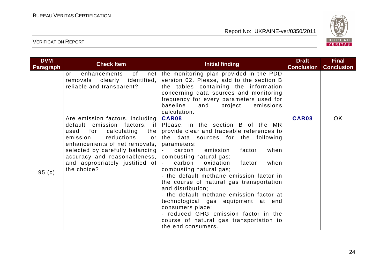

| <b>DVM</b><br><b>Paragraph</b> | <b>Check Item</b>                                                                                                                                                                                                                                                 | <b>Initial finding</b>                                                                                                                                                                                                                                                                                                                                                                                                                                                                                                                                                                                                                                                 | <b>Draft</b><br><b>Conclusion</b> | <b>Final</b><br><b>Conclusion</b> |
|--------------------------------|-------------------------------------------------------------------------------------------------------------------------------------------------------------------------------------------------------------------------------------------------------------------|------------------------------------------------------------------------------------------------------------------------------------------------------------------------------------------------------------------------------------------------------------------------------------------------------------------------------------------------------------------------------------------------------------------------------------------------------------------------------------------------------------------------------------------------------------------------------------------------------------------------------------------------------------------------|-----------------------------------|-----------------------------------|
|                                | of<br>enhancements<br>$\alpha$ r<br>removals clearly identified,<br>reliable and transparent?                                                                                                                                                                     | net the monitoring plan provided in the PDD<br>version 02. Please, add to the section B<br>the tables containing the information<br>concerning data sources and monitoring<br>frequency for every parameters used for<br>baseline<br>and<br>project<br>emissions<br>calculation.                                                                                                                                                                                                                                                                                                                                                                                       |                                   |                                   |
| 95(c)                          | Are emission factors, including  <br>for<br>calculating<br>the<br>used<br>reductions<br>emission<br>or l<br>enhancements of net removals,  <br>selected by carefully balancing<br>accuracy and reasonableness,  <br>and appropriately justified of<br>the choice? | <b>CAR08</b><br>default emission factors, if Please, in the section B of the MR<br>provide clear and traceable references to<br>the data sources for the following<br>parameters:<br>emission<br>when<br>carbon<br>factor<br>$\blacksquare$<br>combusting natural gas;<br>carbon<br>oxidation<br>factor<br>when<br>combusting natural gas;<br>- the default methane emission factor in<br>the course of natural gas transportation<br>and distribution;<br>- the default methane emission factor at<br>technological gas equipment at end<br>consumers place;<br>- reduced GHG emission factor in the<br>course of natural gas transportation to<br>the end consumers. | CAR08                             | <b>OK</b>                         |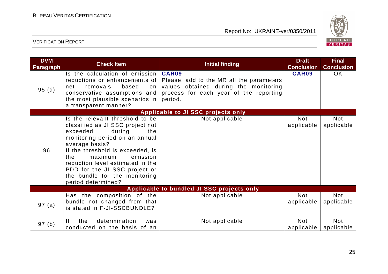

| <b>DVM</b><br><b>Paragraph</b> | <b>Check Item</b>                                                                                                                                                                                                                                                                                                                                  | <b>Initial finding</b>                                                                                                                                                        | <b>Draft</b><br><b>Conclusion</b> | <b>Final</b><br><b>Conclusion</b> |
|--------------------------------|----------------------------------------------------------------------------------------------------------------------------------------------------------------------------------------------------------------------------------------------------------------------------------------------------------------------------------------------------|-------------------------------------------------------------------------------------------------------------------------------------------------------------------------------|-----------------------------------|-----------------------------------|
| 95(d)                          | Is the calculation of emission $\vert$<br>removals<br>based<br>net<br>on<br>conservative assumptions and<br>the most plausible scenarios in<br>a transparent manner?                                                                                                                                                                               | CAR09<br>reductions or enhancements of Please, add to the MR all the parameters<br>values obtained during the monitoring<br>process for each year of the reporting<br>period. | <b>CAR09</b>                      | OK                                |
|                                |                                                                                                                                                                                                                                                                                                                                                    | Applicable to JI SSC projects only                                                                                                                                            |                                   |                                   |
| 96                             | Is the relevant threshold to be<br>classified as JI SSC project not<br>exceeded<br>during<br>the<br>monitoring period on an annual<br>average basis?<br>If the threshold is exceeded, is<br>the<br>maximum<br>emission<br>reduction level estimated in the<br>PDD for the JI SSC project or<br>the bundle for the monitoring<br>period determined? | Not applicable                                                                                                                                                                | <b>Not</b><br>applicable          | Not<br>applicable                 |
|                                |                                                                                                                                                                                                                                                                                                                                                    | Applicable to bundled JI SSC projects only                                                                                                                                    |                                   |                                   |
| 97 (a)                         | Has the composition of the<br>bundle not changed from that<br>is stated in F-JI-SSCBUNDLE?                                                                                                                                                                                                                                                         | Not applicable                                                                                                                                                                | <b>Not</b><br>applicable          | Not<br>applicable                 |
| 97 (b)                         | determination<br><sup>1</sup><br>the<br>was<br>conducted on the basis of an                                                                                                                                                                                                                                                                        | Not applicable                                                                                                                                                                | <b>Not</b><br>applicable          | <b>Not</b><br>applicable          |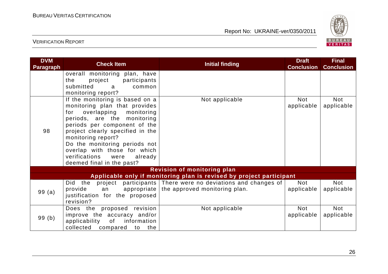

| <b>DVM</b><br><b>Paragraph</b> | <b>Check Item</b>                                                 | <b>Initial finding</b>                                               | <b>Draft</b><br><b>Conclusion</b> | <b>Final</b><br><b>Conclusion</b> |
|--------------------------------|-------------------------------------------------------------------|----------------------------------------------------------------------|-----------------------------------|-----------------------------------|
|                                | overall monitoring plan, have                                     |                                                                      |                                   |                                   |
|                                | project participants<br>the                                       |                                                                      |                                   |                                   |
|                                | submitted<br>common<br>a a                                        |                                                                      |                                   |                                   |
|                                | monitoring report?                                                |                                                                      |                                   |                                   |
|                                | If the monitoring is based on a                                   | Not applicable                                                       | Not                               | Not                               |
|                                | monitoring plan that provides<br>overlapping<br>monitoring<br>for |                                                                      | applicable                        | applicable                        |
|                                | periods, are the monitoring                                       |                                                                      |                                   |                                   |
|                                | periods per component of the                                      |                                                                      |                                   |                                   |
| 98                             | project clearly specified in the                                  |                                                                      |                                   |                                   |
|                                | monitoring report?                                                |                                                                      |                                   |                                   |
|                                | Do the monitoring periods not                                     |                                                                      |                                   |                                   |
|                                | overlap with those for which                                      |                                                                      |                                   |                                   |
|                                | verifications<br>already<br>were                                  |                                                                      |                                   |                                   |
|                                | deemed final in the past?                                         |                                                                      |                                   |                                   |
|                                |                                                                   | <b>Revision of monitoring plan</b>                                   |                                   |                                   |
|                                |                                                                   | Applicable only if monitoring plan is revised by project participant |                                   |                                   |
|                                | Did the                                                           | project participants There were no deviations and changes of         | Not                               | <b>Not</b>                        |
| 99(a)                          | provide<br>appropriate<br>an                                      | the approved monitoring plan.                                        | applicable                        | applicable                        |
|                                | justification for the proposed                                    |                                                                      |                                   |                                   |
|                                | revision?                                                         |                                                                      |                                   |                                   |
|                                | Does the proposed revision                                        | Not applicable                                                       | <b>Not</b>                        | <b>Not</b>                        |
| 99(b)                          | improve the accuracy and/or                                       |                                                                      | applicable                        | applicable                        |
|                                | information<br>applicability<br>of                                |                                                                      |                                   |                                   |
|                                | collected compared to the                                         |                                                                      |                                   |                                   |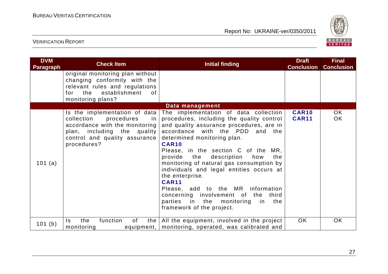

| <b>DVM</b><br><b>Paragraph</b> | <b>Check Item</b>                                                                                                                                                                 | <b>Initial finding</b>                                                                                                                                                                                                                                                                                                                                                                                                                                                                                                                                                                  | <b>Draft</b><br><b>Conclusion</b> | <b>Final</b><br><b>Conclusion</b> |
|--------------------------------|-----------------------------------------------------------------------------------------------------------------------------------------------------------------------------------|-----------------------------------------------------------------------------------------------------------------------------------------------------------------------------------------------------------------------------------------------------------------------------------------------------------------------------------------------------------------------------------------------------------------------------------------------------------------------------------------------------------------------------------------------------------------------------------------|-----------------------------------|-----------------------------------|
|                                | original monitoring plan without<br>changing conformity with the<br>relevant rules and regulations<br>establishment<br>for the<br>of<br>monitoring plans?                         |                                                                                                                                                                                                                                                                                                                                                                                                                                                                                                                                                                                         |                                   |                                   |
|                                |                                                                                                                                                                                   | Data management                                                                                                                                                                                                                                                                                                                                                                                                                                                                                                                                                                         |                                   |                                   |
| 101 (a)                        | Is the implementation of data<br>collection<br>procedures<br>-in<br>accordance with the monitoring<br>plan, including the quality<br>control and quality assurance<br>procedures? | The implementation of data collection<br>procedures, including the quality control<br>and quality assurance procedures, are in<br>accordance with the PDD and the<br>determined monitoring plan.<br><b>CAR10</b><br>Please, in the section C of the MR,<br>provide the<br>description<br>the<br>how<br>monitoring of natural gas consumption by<br>individuals and legal entities occurs at<br>the enterprise.<br><b>CAR11</b><br>Please, add to the MR information<br>concerning involvement of the third<br>parties in the<br>monitoring<br>the<br>in in<br>framework of the project. | <b>CAR10</b><br><b>CAR11</b>      | OK<br>OK                          |
| 101 (b)                        | function<br>of<br>the<br>$\mathsf{ls}$<br>monitoring                                                                                                                              | the $\vert$ All the equipment, involved in the project<br>equipment,   monitoring, operated, was calibrated and                                                                                                                                                                                                                                                                                                                                                                                                                                                                         | OK                                | OK                                |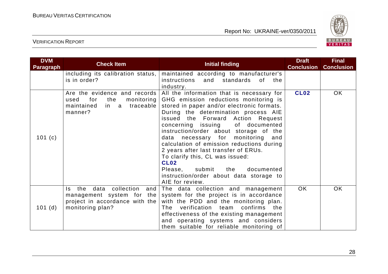

| <b>DVM</b><br><b>Paragraph</b> | <b>Check Item</b>                                                                                                       | <b>Initial finding</b>                                                                                                                                                                                                                                                                                                                                                                                                                                                                                                                                                          | <b>Draft</b><br><b>Conclusion</b> | <b>Final</b><br><b>Conclusion</b> |
|--------------------------------|-------------------------------------------------------------------------------------------------------------------------|---------------------------------------------------------------------------------------------------------------------------------------------------------------------------------------------------------------------------------------------------------------------------------------------------------------------------------------------------------------------------------------------------------------------------------------------------------------------------------------------------------------------------------------------------------------------------------|-----------------------------------|-----------------------------------|
|                                | including its calibration status,<br>is in order?                                                                       | maintained according to manufacturer's<br>and standards<br>instructions<br>of the<br>industry.                                                                                                                                                                                                                                                                                                                                                                                                                                                                                  |                                   |                                   |
| 101 $(c)$                      | Are the evidence and records<br>used<br>for<br>the<br>monitoring  <br>in a traceable<br>maintained<br>manner?           | All the information that is necessary for<br>GHG emission reductions monitoring is<br>stored in paper and/or electronic formats.<br>During the determination process AIE<br>issued the Forward Action Request<br>of documented<br>concerning issuing<br>instruction/order about storage of the<br>data necessary for monitoring and<br>calculation of emission reductions during<br>2 years after last transfer of ERUs.<br>To clarify this, CL was issued:<br><b>CL02</b><br>Please, submit<br>the<br>documented<br>instruction/order about data storage to<br>AIE for review. | <b>CL02</b>                       | OK                                |
| 101(d)                         | data collection<br>the<br>and<br>ls.<br>management system for the<br>project in accordance with the<br>monitoring plan? | The data collection and management<br>system for the project is in accordance<br>with the PDD and the monitoring plan.<br>verification team confirms the<br>The<br>effectiveness of the existing management<br>and operating systems and considers<br>them suitable for reliable monitoring of                                                                                                                                                                                                                                                                                  | OK                                | <b>OK</b>                         |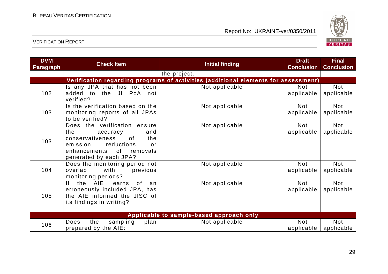

| <b>DVM</b><br><b>Paragraph</b> | <b>Check Item</b>                                                                                                                                                                     | <b>Initial finding</b>                                                             | <b>Draft</b><br><b>Conclusion</b> | <b>Final</b><br><b>Conclusion</b> |
|--------------------------------|---------------------------------------------------------------------------------------------------------------------------------------------------------------------------------------|------------------------------------------------------------------------------------|-----------------------------------|-----------------------------------|
|                                |                                                                                                                                                                                       | the project.                                                                       |                                   |                                   |
|                                |                                                                                                                                                                                       | Verification regarding programs of activities (additional elements for assessment) |                                   |                                   |
| 102                            | Is any JPA that has not been<br>added to the JI PoA not<br>verified?                                                                                                                  | Not applicable                                                                     | <b>Not</b><br>applicable          | <b>Not</b><br>applicable          |
| 103                            | Is the verification based on the<br>monitoring reports of all JPAs<br>to be verified?                                                                                                 | Not applicable                                                                     | <b>Not</b><br>applicable          | <b>Not</b><br>applicable          |
| 103                            | Does the verification ensure<br>the<br>accuracy<br>and<br>conservativeness<br><sub>of</sub><br>the<br>emission reductions<br>or<br>enhancements of removals<br>generated by each JPA? | Not applicable                                                                     | <b>Not</b><br>applicable          | <b>Not</b><br>applicable          |
| 104                            | Does the monitoring period not<br>with<br>overlap<br>previous<br>monitoring periods?                                                                                                  | Not applicable                                                                     | <b>Not</b><br>applicable          | <b>Not</b><br>applicable          |
| 105                            | AIE<br>the<br>learns<br>0f<br>lf –<br>an<br>erroneously included JPA, has<br>the AIE informed the JISC of<br>its findings in writing?                                                 | Not applicable                                                                     | <b>Not</b><br>applicable          | <b>Not</b><br>applicable          |
|                                |                                                                                                                                                                                       | Applicable to sample-based approach only                                           |                                   |                                   |
| 106                            | sampling<br>the<br>Does<br>plan<br>prepared by the AIE:                                                                                                                               | Not applicable                                                                     | <b>Not</b><br>applicable          | <b>Not</b><br>applicable          |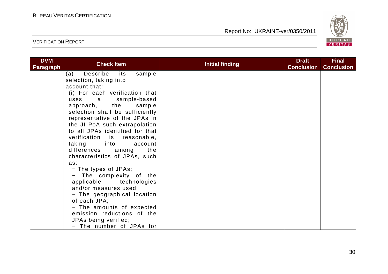

| <b>DVM</b><br><b>Paragraph</b> | <b>Check Item</b>                    | <b>Initial finding</b> | <b>Draft</b><br><b>Conclusion</b> | <b>Final</b><br><b>Conclusion</b> |
|--------------------------------|--------------------------------------|------------------------|-----------------------------------|-----------------------------------|
|                                | Describe<br>sample<br>(a)<br>its     |                        |                                   |                                   |
|                                | selection, taking into               |                        |                                   |                                   |
|                                | account that:                        |                        |                                   |                                   |
|                                | (i) For each verification that       |                        |                                   |                                   |
|                                | sample-based<br>uses<br>a            |                        |                                   |                                   |
|                                | approach, the<br>sample              |                        |                                   |                                   |
|                                | selection shall be sufficiently      |                        |                                   |                                   |
|                                | representative of the JPAs in        |                        |                                   |                                   |
|                                | the JI PoA such extrapolation        |                        |                                   |                                   |
|                                | to all JPAs identified for that      |                        |                                   |                                   |
|                                | verification is reasonable,          |                        |                                   |                                   |
|                                | taking<br><b>into</b><br>account     |                        |                                   |                                   |
|                                | differences among<br>the             |                        |                                   |                                   |
|                                | characteristics of JPAs, such<br>as: |                        |                                   |                                   |
|                                | - The types of JPAs;                 |                        |                                   |                                   |
|                                | - The complexity of the              |                        |                                   |                                   |
|                                | applicable technologies              |                        |                                   |                                   |
|                                | and/or measures used;                |                        |                                   |                                   |
|                                | - The geographical location          |                        |                                   |                                   |
|                                | of each JPA;                         |                        |                                   |                                   |
|                                | - The amounts of expected            |                        |                                   |                                   |
|                                | emission reductions of the           |                        |                                   |                                   |
|                                | JPAs being verified;                 |                        |                                   |                                   |
|                                | - The number of JPAs for             |                        |                                   |                                   |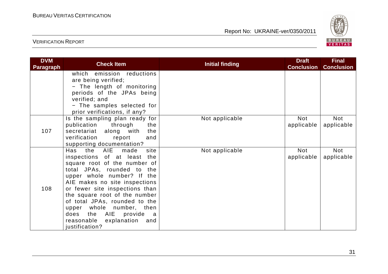

| <b>DVM</b><br><b>Paragraph</b> | <b>Check Item</b>                                          | <b>Initial finding</b> | <b>Draft</b><br><b>Conclusion</b> | <b>Final</b><br><b>Conclusion</b> |
|--------------------------------|------------------------------------------------------------|------------------------|-----------------------------------|-----------------------------------|
|                                | which emission reductions<br>are being verified;           |                        |                                   |                                   |
|                                | - The length of monitoring                                 |                        |                                   |                                   |
|                                | periods of the JPAs being                                  |                        |                                   |                                   |
|                                | verified; and                                              |                        |                                   |                                   |
|                                | - The samples selected for                                 |                        |                                   |                                   |
|                                | prior verifications, if any?                               |                        |                                   |                                   |
|                                | Is the sampling plan ready for                             | Not applicable         | <b>Not</b>                        | Not                               |
|                                | publication<br>through<br>the                              |                        | applicable                        | applicable                        |
| 107                            | secretariat along with<br>the                              |                        |                                   |                                   |
|                                | verification<br>report<br>and                              |                        |                                   |                                   |
|                                | supporting documentation?                                  |                        |                                   |                                   |
|                                | Has<br>the AIE made<br>site<br>inspections of at least the | Not applicable         | <b>Not</b><br>applicable          | Not<br>applicable                 |
|                                | square root of the number of                               |                        |                                   |                                   |
|                                | total JPAs, rounded to the                                 |                        |                                   |                                   |
|                                | upper whole number? If the                                 |                        |                                   |                                   |
|                                | AIE makes no site inspections                              |                        |                                   |                                   |
| 108                            | or fewer site inspections than                             |                        |                                   |                                   |
|                                | the square root of the number                              |                        |                                   |                                   |
|                                | of total JPAs, rounded to the                              |                        |                                   |                                   |
|                                | upper whole number, then                                   |                        |                                   |                                   |
|                                | does the AIE provide<br>a a                                |                        |                                   |                                   |
|                                | reasonable explanation<br>and                              |                        |                                   |                                   |
|                                | justification?                                             |                        |                                   |                                   |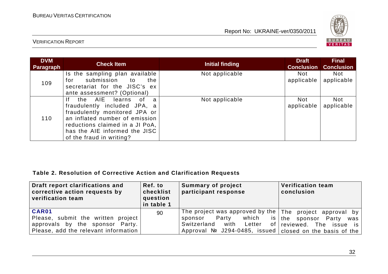

## VERIFICATION REPORT

| <b>DVM</b><br><b>Paragraph</b> | <b>Check Item</b>                                                                                                                                                                                                                      | Initial finding | <b>Draft</b><br><b>Conclusion</b> | <b>Final</b><br><b>Conclusion</b> |
|--------------------------------|----------------------------------------------------------------------------------------------------------------------------------------------------------------------------------------------------------------------------------------|-----------------|-----------------------------------|-----------------------------------|
| 109                            | Is the sampling plan available<br>submission<br>the<br>to<br>for<br>secretariat for the JISC's ex<br>ante assessment? (Optional)                                                                                                       | Not applicable  | Not<br>applicable                 | <b>Not</b><br>applicable          |
| 110                            | the AIE<br>1f<br>learns<br>of.<br>a<br>fraudulently included JPA, a<br>fraudulently monitored JPA or<br>an inflated number of emission<br>reductions claimed in a JI PoA,<br>has the AIE informed the JISC<br>of the fraud in writing? | Not applicable  | Not<br>applicable                 | <b>Not</b><br>applicable          |

#### **Table 2. Resolution of Corrective Action and Clarification Requests**

| Draft report clarifications and<br>corrective action requests by<br>verification team | Ref. to<br>checklist<br>question<br>in table 1 | Summary of project<br>participant response                      | <b>Verification team</b><br>conclusion |
|---------------------------------------------------------------------------------------|------------------------------------------------|-----------------------------------------------------------------|----------------------------------------|
| CAR01                                                                                 | 90                                             | The project was approved by the $ $ The project approval by $ $ |                                        |
| Please, submit the written project                                                    |                                                | sponsor Party                                                   | which is the sponsor Party was         |
| approvals by the sponsor Party.                                                       |                                                | Switzerland with Letter                                         | of reviewed. The issue is              |
| Please, add the relevant information                                                  |                                                | Approval $N2$ J294-0485, issued closed on the basis of the      |                                        |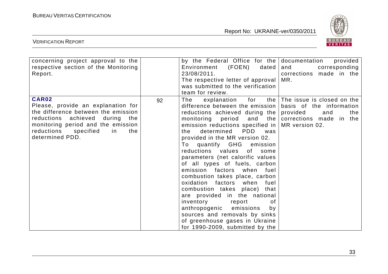

| concerning project approval to the<br>respective section of the Monitoring<br>Report.                                                                                                                                     |    | by the Federal Office for the documentation<br>(FOEN)<br>Environment<br>dated  <br>23/08/2011.<br>The respective letter of approval<br>was submitted to the verification<br>team for review.                                                                                                                                                                                                                                                                                                                                                                                                                                                                                                                                                                                      | provided<br>corresponding<br>and<br>corrections made in the<br>MR.       |
|---------------------------------------------------------------------------------------------------------------------------------------------------------------------------------------------------------------------------|----|-----------------------------------------------------------------------------------------------------------------------------------------------------------------------------------------------------------------------------------------------------------------------------------------------------------------------------------------------------------------------------------------------------------------------------------------------------------------------------------------------------------------------------------------------------------------------------------------------------------------------------------------------------------------------------------------------------------------------------------------------------------------------------------|--------------------------------------------------------------------------|
| <b>CAR02</b><br>Please, provide an explanation for<br>the difference between the emission<br>reductions achieved during the<br>monitoring period and the emission<br>reductions specified<br>in<br>the<br>determined PDD. | 92 | The<br>explanation for<br>difference between the emission  <br>reductions achieved during the provided<br>monitoring period and the corrections made in the<br>emission reductions specified in $\vert$ MR version 02.<br><b>PDD</b><br>determined<br>the<br>was<br>provided in the MR version 02.<br>quantify GHG emission<br>To<br>reductions values<br>of _<br>some<br>parameters (net calorific values<br>of all types of fuels, carbon<br>emission factors when fuel<br>combustion takes place, carbon<br>oxidation factors when<br>fuel<br>combustion takes place) that<br>are provided in the national<br>inventory<br>report<br>οf<br>anthropogenic emissions<br>by<br>sources and removals by sinks<br>of greenhouse gases in Ukraine<br>for 1990-2009, submitted by the | the The issue is closed on the<br>basis of the information<br>and<br>the |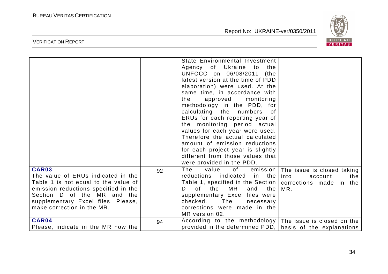

|                                                                                                                                                                                                                                |    | State Environmental Investment<br>Agency of Ukraine to<br>the<br>UNFCCC on 06/08/2011<br>(the<br>latest version at the time of PDD<br>elaboration) were used. At the<br>same time, in accordance with<br>approved monitoring<br>the<br>methodology in the PDD, for<br>calculating the numbers of<br>ERUs for each reporting year of<br>the monitoring period actual<br>values for each year were used.<br>Therefore the actual calculated<br>amount of emission reductions<br>for each project year is slightly<br>different from those values that<br>were provided in the PDD. |                                                             |
|--------------------------------------------------------------------------------------------------------------------------------------------------------------------------------------------------------------------------------|----|----------------------------------------------------------------------------------------------------------------------------------------------------------------------------------------------------------------------------------------------------------------------------------------------------------------------------------------------------------------------------------------------------------------------------------------------------------------------------------------------------------------------------------------------------------------------------------|-------------------------------------------------------------|
| CAR03<br>The value of ERUs indicated in the<br>Table 1 is not equal to the value of<br>emission reductions specified in the<br>Section D of the MR and the<br>supplementary Excel files. Please,<br>make correction in the MR. | 92 | The<br>value<br>of the control<br>emission<br>reductions indicated in the<br>Table 1, specified in the Section   corrections made in the<br>of<br>the<br>MR<br>D.<br>and<br>the I<br>supplementary Excel files were<br>checked.<br>The<br>necessary<br>corrections were made in the<br>MR version 02.                                                                                                                                                                                                                                                                            | The issue is closed taking<br>into<br>account<br>the<br>MR. |
| CAR04<br>Please, indicate in the MR how the                                                                                                                                                                                    | 94 | According to the methodology The issue is closed on the<br>provided in the determined PDD,   basis of the explanations                                                                                                                                                                                                                                                                                                                                                                                                                                                           |                                                             |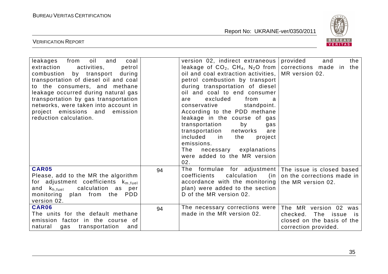

| from<br>oil<br>leakages<br>and<br>coal<br>extraction<br>activities,<br>petrol<br>combustion by transport<br>during<br>transportation of diesel oil and coal<br>to the consumers, and methane<br>leakage occurred during natural gas<br>transportation by gas transportation<br>networks, were taken into account in<br>project emissions and<br>emission<br>reduction calculation. |    | version 02, indirect extraneous<br>leakage of $CO_2$ , $CH_4$ , N <sub>2</sub> O from<br>oil and coal extraction activities,<br>petrol combustion by transport<br>during transportation of diesel<br>oil and coal to end consumer<br>excluded<br>from<br>are<br>a<br>conservative<br>standpoint.<br>According to the PDD methane<br>leakage in the course of gas<br>transportation<br>by<br>gas<br>transportation<br>networks<br>are<br>included in<br>the<br>project<br>emissions.<br>The<br>necessary explanations<br>were added to the MR version<br>02. | provided<br>the<br>and<br>corrections made in<br>the<br>MR version 02.                                          |
|------------------------------------------------------------------------------------------------------------------------------------------------------------------------------------------------------------------------------------------------------------------------------------------------------------------------------------------------------------------------------------|----|-------------------------------------------------------------------------------------------------------------------------------------------------------------------------------------------------------------------------------------------------------------------------------------------------------------------------------------------------------------------------------------------------------------------------------------------------------------------------------------------------------------------------------------------------------------|-----------------------------------------------------------------------------------------------------------------|
| <b>CAR05</b><br>Please, add to the MR the algorithm<br>for adjustment coefficients $k_{m, fuel}$<br>calculation as per<br>and k <sub>h.fuel</sub><br>monitoring plan from the<br><b>PDD</b><br>version 02.                                                                                                                                                                         | 94 | formulae for adjustment The issue is closed based<br>The<br>coefficients<br>calculation<br>(in<br>accordance with the monitoring<br>plan) were added to the section<br>D of the MR version 02.                                                                                                                                                                                                                                                                                                                                                              | on the corrections made in<br>the MR version 02.                                                                |
| CAR06<br>The units for the default methane<br>emission factor in the course of<br>gas transportation<br>natural<br>and                                                                                                                                                                                                                                                             | 94 | The necessary corrections were<br>made in the MR version 02.                                                                                                                                                                                                                                                                                                                                                                                                                                                                                                | The MR version 02 was<br>checked.<br>The<br>issue<br>is i<br>closed on the basis of the<br>correction provided. |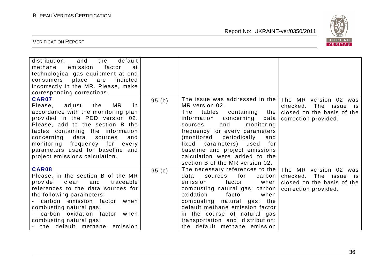

| and<br>distribution,<br>the<br>default<br>methane<br>emission<br>factor<br>at<br>technological gas equipment at end<br>place<br>consumers<br>are<br>indicted<br>incorrectly in the MR. Please, make<br>corresponding corrections.                                                                                                                      |       |                                                                                                                                                                                                                                                                                                                                                                                                                                              |                                                                                  |
|--------------------------------------------------------------------------------------------------------------------------------------------------------------------------------------------------------------------------------------------------------------------------------------------------------------------------------------------------------|-------|----------------------------------------------------------------------------------------------------------------------------------------------------------------------------------------------------------------------------------------------------------------------------------------------------------------------------------------------------------------------------------------------------------------------------------------------|----------------------------------------------------------------------------------|
| <b>CAR07</b><br>MR.<br>adjust the<br>in.<br>Please,<br>accordance with the monitoring plan<br>provided in the PDD version 02.<br>Please, add to the section B the<br>tables containing the information<br>concerning<br>data<br>and<br>sources<br>monitoring frequency for every<br>parameters used for baseline and<br>project emissions calculation. | 95(b) | The issue was addressed in the $ $ The MR version 02 was<br>MR version 02.<br>The tables containing the closed on the basis of the<br>information concerning data   correction provided.<br>and<br>monitoring<br>sources<br>frequency for every parameters<br>(monitored periodically<br>and<br>fixed parameters) used<br>for <b>f</b><br>baseline and project emissions<br>calculation were added to the<br>section B of the MR version 02. | checked. The issue is                                                            |
| <b>CAR08</b><br>Please, in the section B of the MR<br>provide<br>clear<br>and<br>traceable<br>references to the data sources for<br>the following parameters:<br>- carbon emission factor when<br>combusting natural gas;<br>carbon oxidation factor when<br>combusting natural gas;<br>- the default methane emission                                 | 95(c) | The necessary references to the   The MR version 02 was<br>for<br>data<br>sources<br>carbon  <br>factor<br>emission<br>when  <br>combusting natural gas; carbon  <br>oxidation<br>factor<br>when<br>combusting natural gas; the<br>default methane emission factor<br>in the course of natural gas<br>transportation and distribution;<br>the default methane emission                                                                       | checked. The issue<br>is i<br>closed on the basis of the<br>correction provided. |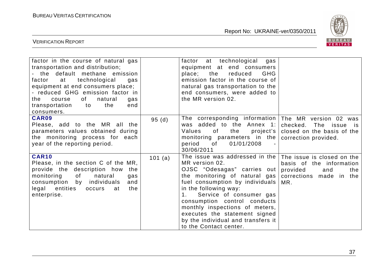

| factor in the course of natural gas<br>transportation and distribution;<br>- the default methane emission<br>technological<br>factor at<br>gas<br>equipment at end consumers place;<br>- reduced GHG emission factor in<br>of<br>natural<br>the<br>course<br>gas<br>transportation<br>the<br>to to<br>end<br>consumers. |         | factor at technological gas<br>equipment at end consumers<br>place; the<br>reduced<br><b>GHG</b><br>emission factor in the course of<br>natural gas transportation to the<br>end consumers, were added to<br>the MR version 02.                                                                                                                                                  |                                                                                                                    |
|-------------------------------------------------------------------------------------------------------------------------------------------------------------------------------------------------------------------------------------------------------------------------------------------------------------------------|---------|----------------------------------------------------------------------------------------------------------------------------------------------------------------------------------------------------------------------------------------------------------------------------------------------------------------------------------------------------------------------------------|--------------------------------------------------------------------------------------------------------------------|
| CAR09<br>Please, add to the MR all the<br>parameters values obtained during<br>the monitoring process for each<br>year of the reporting period.                                                                                                                                                                         | 95(d)   | The corresponding information<br>was added to the Annex 1:<br>the<br>Values<br>of<br>project's<br>monitoring parameters in the<br>period<br>of<br>01/01/2008<br>30/06/2011                                                                                                                                                                                                       | The MR version 02 was<br>checked. The issue is<br>closed on the basis of the<br>correction provided.               |
| <b>CAR10</b><br>Please, in the section C of the MR,<br>provide the description how<br>the<br>monitoring<br>of<br>natural<br>gas<br>consumption by individuals<br>and<br>legal entities<br>the<br>occurs<br>at<br>enterprise.                                                                                            | 101 (a) | The issue was addressed in the<br>MR version 02.<br>OJSC "Odesagas" carries out<br>the monitoring of natural gas<br>fuel consumption by individuals<br>in the following way:<br>Service of consumer gas<br>1.<br>consumption control conducts<br>monthly inspections of meters,<br>executes the statement signed<br>by the individual and transfers it<br>to the Contact center. | The issue is closed on the<br>basis of the information<br>provided<br>the<br>and<br>corrections made in the<br>MR. |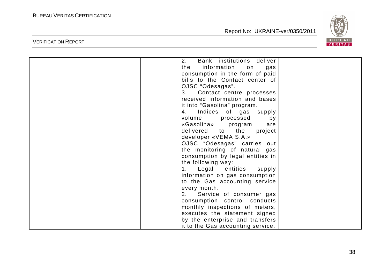VERIFICATION REPORT

Report No: UKRAINE-ver/0350/2011



| 2.<br>Bank institutions deliver   |  |
|-----------------------------------|--|
| information on<br>the<br>gas      |  |
| consumption in the form of paid   |  |
| bills to the Contact center of    |  |
| OJSC "Odesagas".                  |  |
| Contact centre processes<br>3.    |  |
| received information and bases    |  |
| it into "Gasolina" program.       |  |
| 4. Indices of gas supply          |  |
| volume<br>processed<br>by         |  |
| «Gasolina» program<br>are         |  |
| delivered to the<br>project       |  |
| developer «VEMA S.A.»             |  |
| OJSC "Odesagas" carries out       |  |
| the monitoring of natural gas     |  |
| consumption by legal entities in  |  |
| the following way:                |  |
| Legal entities<br>supply<br>1.    |  |
| information on gas consumption    |  |
| to the Gas accounting service     |  |
| every month.                      |  |
| 2. Service of consumer gas        |  |
| consumption control conducts      |  |
| monthly inspections of meters,    |  |
| executes the statement signed     |  |
| by the enterprise and transfers   |  |
| it to the Gas accounting service. |  |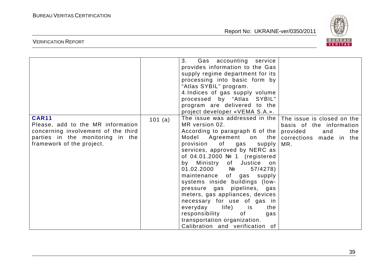

|                                                                                                                                                           |         | 3.<br>Gas accounting service<br>provides information to the Gas<br>supply regime department for its<br>processing into basic form by<br>"Atlas SYBIL" program.<br>4. Indices of gas supply volume<br>processed by "Atlas SYBIL"<br>program are delivered to the                                                                                                                                                                                                                                                                                                                                                 |                                                                                      |
|-----------------------------------------------------------------------------------------------------------------------------------------------------------|---------|-----------------------------------------------------------------------------------------------------------------------------------------------------------------------------------------------------------------------------------------------------------------------------------------------------------------------------------------------------------------------------------------------------------------------------------------------------------------------------------------------------------------------------------------------------------------------------------------------------------------|--------------------------------------------------------------------------------------|
|                                                                                                                                                           |         | project developer «VEMA S.A.».                                                                                                                                                                                                                                                                                                                                                                                                                                                                                                                                                                                  |                                                                                      |
| <b>CAR11</b><br>Please, add to the MR information<br>concerning involvement of the third<br>parties in the monitoring in the<br>framework of the project. | 101 (a) | The issue was addressed in the   The issue is closed on the<br>MR version 02.<br>According to paragraph 6 of the<br>Model Agreement on the<br>provision of gas supply<br>services, approved by NERC as<br>of $04.01.2000$ N <sup>o</sup> 1 (registered<br>by Ministry of Justice on<br>$01.02.2000$ No<br>57/4278<br>maintenance of gas supply<br>systems inside buildings (low-<br>pressure gas pipelines, gas<br>meters, gas appliances, devices<br>necessary for use of gas in<br>everyday life) is<br>the<br>responsibility<br>of<br>gas<br>transportation organization.<br>Calibration and verification of | basis of the information<br>provided<br>the<br>and<br>corrections made in the<br>MR. |